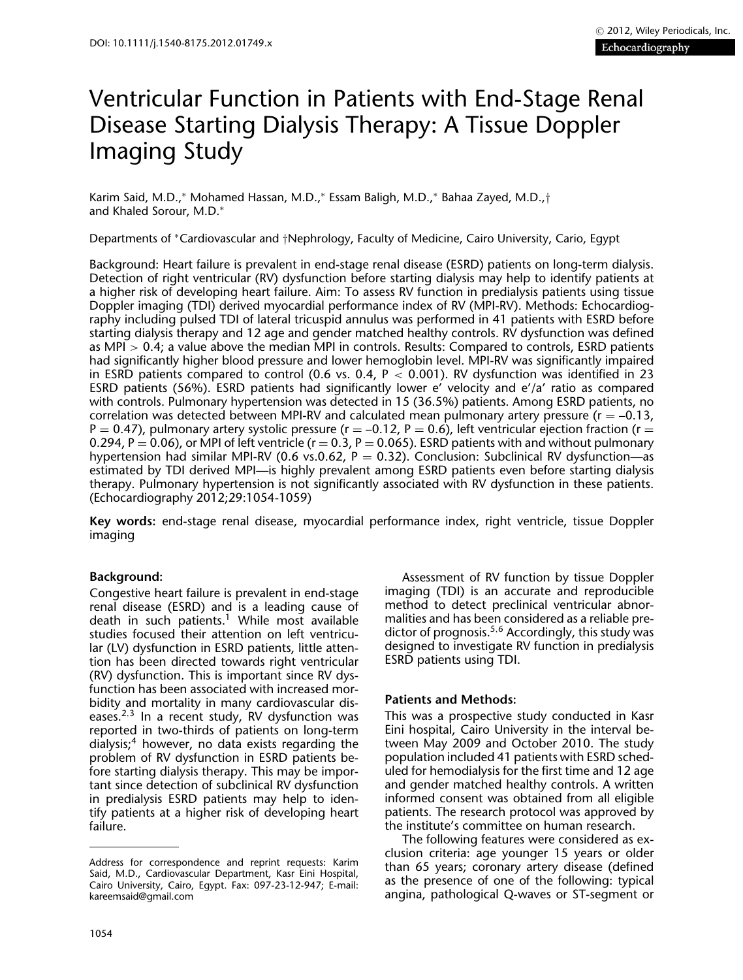# Ventricular Function in Patients with End-Stage Renal Disease Starting Dialysis Therapy: A Tissue Doppler Imaging Study

Karim Said, M.D.,<sup>∗</sup> Mohamed Hassan, M.D.,<sup>∗</sup> Essam Baligh, M.D.,<sup>∗</sup> Bahaa Zayed, M.D.,† and Khaled Sorour, M.D.<sup>∗</sup>

Departments of <sup>∗</sup>Cardiovascular and †Nephrology, Faculty of Medicine, Cairo University, Cario, Egypt

Background: Heart failure is prevalent in end-stage renal disease (ESRD) patients on long-term dialysis. Detection of right ventricular (RV) dysfunction before starting dialysis may help to identify patients at a higher risk of developing heart failure. Aim: To assess RV function in predialysis patients using tissue Doppler imaging (TDI) derived myocardial performance index of RV (MPI-RV). Methods: Echocardiography including pulsed TDI of lateral tricuspid annulus was performed in 41 patients with ESRD before starting dialysis therapy and 12 age and gender matched healthy controls. RV dysfunction was defined as MPI > 0.4; a value above the median MPI in controls. Results: Compared to controls, ESRD patients had significantly higher blood pressure and lower hemoglobin level. MPI-RV was significantly impaired in ESRD patients compared to control (0.6 vs. 0.4,  $P < 0.001$ ). RV dysfunction was identified in 23 ESRD patients (56%). ESRD patients had significantly lower e' velocity and e'/a' ratio as compared with controls. Pulmonary hypertension was detected in 15 (36.5%) patients. Among ESRD patients, no correlation was detected between MPI-RV and calculated mean pulmonary artery pressure ( $r = -0.13$ ,  $P = 0.47$ ), pulmonary artery systolic pressure (r = -0.12, P = 0.6), left ventricular ejection fraction (r = 0.294, P = 0.06), or MPI of left ventricle ( $r = 0.3$ , P = 0.065). ESRD patients with and without pulmonary hypertension had similar MPI-RV (0.6 vs.0.62,  $P = 0.32$ ). Conclusion: Subclinical RV dysfunction—as estimated by TDI derived MPI—is highly prevalent among ESRD patients even before starting dialysis therapy. Pulmonary hypertension is not significantly associated with RV dysfunction in these patients. (Echocardiography 2012;29:1054-1059)

**Key words:** end-stage renal disease, myocardial performance index, right ventricle, tissue Doppler imaging

## **Background:**

Congestive heart failure is prevalent in end-stage renal disease (ESRD) and is a leading cause of death in such patients.<sup>1</sup> While most available studies focused their attention on left ventricular (LV) dysfunction in ESRD patients, little attention has been directed towards right ventricular (RV) dysfunction. This is important since RV dysfunction has been associated with increased morbidity and mortality in many cardiovascular diseases.<sup>2</sup>,<sup>3</sup> In a recent study, RV dysfunction was reported in two-thirds of patients on long-term dialysis;4 however, no data exists regarding the problem of RV dysfunction in ESRD patients before starting dialysis therapy. This may be important since detection of subclinical RV dysfunction in predialysis ESRD patients may help to identify patients at a higher risk of developing heart failure.

Assessment of RV function by tissue Doppler imaging (TDI) is an accurate and reproducible method to detect preclinical ventricular abnormalities and has been considered as a reliable predictor of prognosis.<sup>5,6</sup> Accordingly, this study was designed to investigate RV function in predialysis ESRD patients using TDI.

## **Patients and Methods:**

This was a prospective study conducted in Kasr Eini hospital, Cairo University in the interval between May 2009 and October 2010. The study population included 41 patients with ESRD scheduled for hemodialysis for the first time and 12 age and gender matched healthy controls. A written informed consent was obtained from all eligible patients. The research protocol was approved by the institute's committee on human research.

The following features were considered as exclusion criteria: age younger 15 years or older than 65 years; coronary artery disease (defined as the presence of one of the following: typical angina, pathological Q-waves or ST-segment or

Address for correspondence and reprint requests: Karim Said, M.D., Cardiovascular Department, Kasr Eini Hospital, Cairo University, Cairo, Egypt. Fax: 097-23-12-947; E-mail: kareemsaid@gmail.com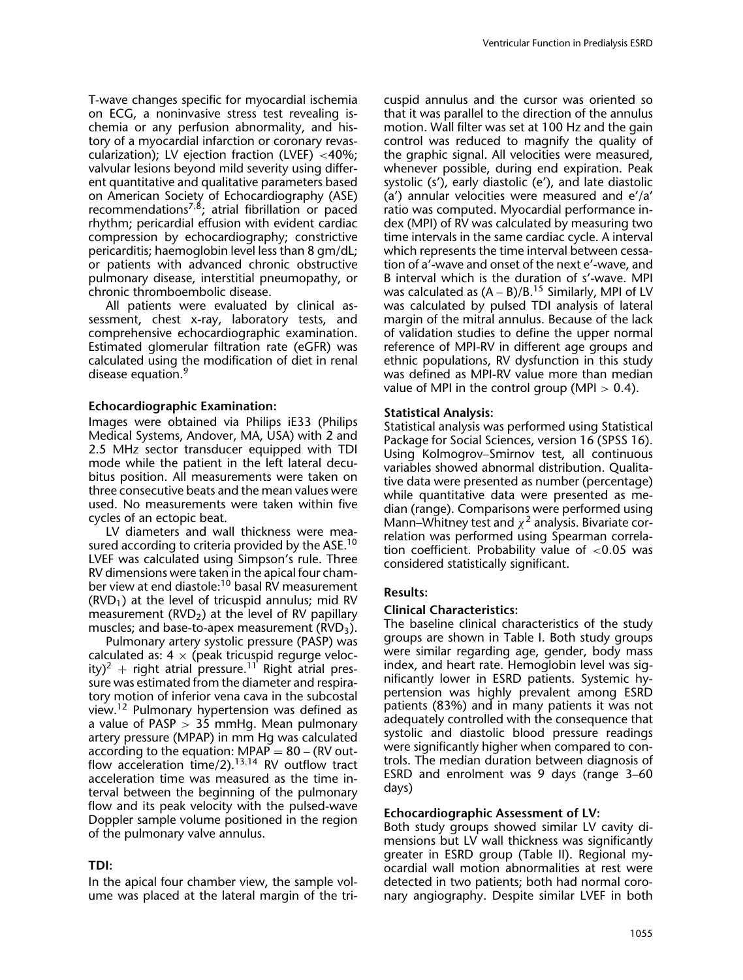T-wave changes specific for myocardial ischemia on ECG, a noninvasive stress test revealing ischemia or any perfusion abnormality, and history of a myocardial infarction or coronary revascularization); LV ejection fraction (LVEF) <40%; valvular lesions beyond mild severity using different quantitative and qualitative parameters based on American Society of Echocardiography (ASE) recommendations<sup>7,8</sup>; atrial fibrillation or paced rhythm; pericardial effusion with evident cardiac compression by echocardiography; constrictive pericarditis; haemoglobin level less than 8 gm/dL; or patients with advanced chronic obstructive pulmonary disease, interstitial pneumopathy, or chronic thromboembolic disease.

All patients were evaluated by clinical assessment, chest x-ray, laboratory tests, and comprehensive echocardiographic examination. Estimated glomerular filtration rate (eGFR) was calculated using the modification of diet in renal disease equation.<sup>9</sup>

#### **Echocardiographic Examination:**

Images were obtained via Philips iE33 (Philips Medical Systems, Andover, MA, USA) with 2 and 2.5 MHz sector transducer equipped with TDI mode while the patient in the left lateral decubitus position. All measurements were taken on three consecutive beats and the mean values were used. No measurements were taken within five cycles of an ectopic beat.

LV diameters and wall thickness were measured according to criteria provided by the  $ASE<sup>10</sup>$ LVEF was calculated using Simpson's rule. Three RV dimensions were taken in the apical four chamber view at end diastole:10 basal RV measurement  $(RVD<sub>1</sub>)$  at the level of tricuspid annulus; mid RV measurement ( $RVD<sub>2</sub>$ ) at the level of RV papillary muscles; and base-to-apex measurement  $(RVD<sub>3</sub>)$ .

Pulmonary artery systolic pressure (PASP) was calculated as:  $4 \times$  (peak tricuspid regurge velocity)<sup>2</sup> + right atrial pressure.<sup>11</sup> Right atrial pressure was estimated from the diameter and respiratory motion of inferior vena cava in the subcostal view.12 Pulmonary hypertension was defined as a value of PASP  $>$  35 mmHg. Mean pulmonary artery pressure (MPAP) in mm Hg was calculated according to the equation:  $MPAP = 80 - (RV out$ flow acceleration time/2). $13,14$  RV outflow tract acceleration time was measured as the time interval between the beginning of the pulmonary flow and its peak velocity with the pulsed-wave Doppler sample volume positioned in the region of the pulmonary valve annulus.

### **TDI:**

In the apical four chamber view, the sample volume was placed at the lateral margin of the tricuspid annulus and the cursor was oriented so that it was parallel to the direction of the annulus motion. Wall filter was set at 100 Hz and the gain control was reduced to magnify the quality of the graphic signal. All velocities were measured, whenever possible, during end expiration. Peak systolic (s'), early diastolic (e'), and late diastolic (a') annular velocities were measured and e'/a' ratio was computed. Myocardial performance index (MPI) of RV was calculated by measuring two time intervals in the same cardiac cycle. A interval which represents the time interval between cessation of a'-wave and onset of the next e'-wave, and B interval which is the duration of s'-wave. MPI was calculated as  $(A - B)/B$ .<sup>15</sup> Similarly, MPI of LV was calculated by pulsed TDI analysis of lateral margin of the mitral annulus. Because of the lack of validation studies to define the upper normal reference of MPI-RV in different age groups and ethnic populations, RV dysfunction in this study was defined as MPI-RV value more than median value of MPI in the control group (MPI  $> 0.4$ ).

#### **Statistical Analysis:**

Statistical analysis was performed using Statistical Package for Social Sciences, version 16 (SPSS 16). Using Kolmogrov–Smirnov test, all continuous variables showed abnormal distribution. Qualitative data were presented as number (percentage) while quantitative data were presented as median (range). Comparisons were performed using Mann–Whitney test and  $\chi^2$  analysis. Bivariate correlation was performed using Spearman correlation coefficient. Probability value of  $< 0.05$  was considered statistically significant.

#### **Results:**

#### **Clinical Characteristics:**

The baseline clinical characteristics of the study groups are shown in Table I. Both study groups were similar regarding age, gender, body mass index, and heart rate. Hemoglobin level was significantly lower in ESRD patients. Systemic hypertension was highly prevalent among ESRD patients (83%) and in many patients it was not adequately controlled with the consequence that systolic and diastolic blood pressure readings were significantly higher when compared to controls. The median duration between diagnosis of ESRD and enrolment was 9 days (range 3–60 days)

#### **Echocardiographic Assessment of LV:**

Both study groups showed similar LV cavity dimensions but LV wall thickness was significantly greater in ESRD group (Table II). Regional myocardial wall motion abnormalities at rest were detected in two patients; both had normal coronary angiography. Despite similar LVEF in both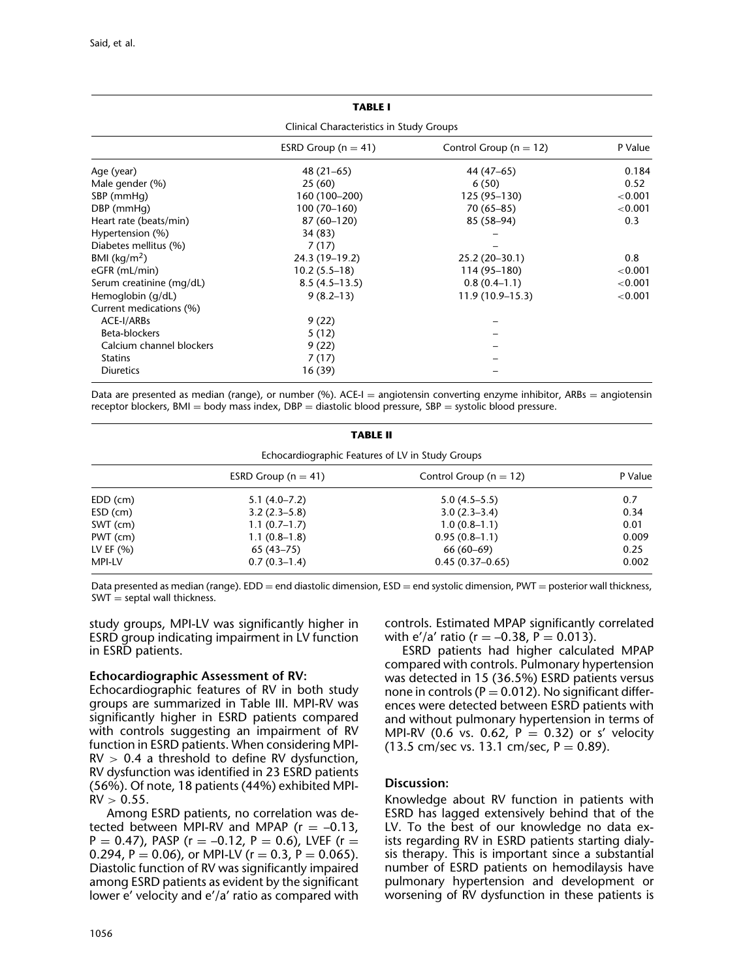| <b>TABLE I</b>                           |                         |                            |         |  |  |
|------------------------------------------|-------------------------|----------------------------|---------|--|--|
| Clinical Characteristics in Study Groups |                         |                            |         |  |  |
|                                          | ESRD Group ( $n = 41$ ) | Control Group ( $n = 12$ ) | P Value |  |  |
| Age (year)                               | $48(21-65)$             | 44 (47–65)                 | 0.184   |  |  |
| Male gender (%)                          | 25(60)                  | 6(50)                      | 0.52    |  |  |
| SBP (mmHg)                               | 160 (100-200)           | 125 (95-130)               | < 0.001 |  |  |
| DBP (mmHg)                               | $100(70-160)$           | $70(65 - 85)$              | < 0.001 |  |  |
| Heart rate (beats/min)                   | 87 (60-120)             | 85 (58-94)                 | 0.3     |  |  |
| Hypertension (%)                         | 34 (83)                 |                            |         |  |  |
| Diabetes mellitus (%)                    | 7(17)                   |                            |         |  |  |
| BMI ( $\text{kg/m}^2$ )                  | 24.3 (19-19.2)          | 25.2 (20-30.1)             | 0.8     |  |  |
| eGFR (mL/min)                            | $10.2(5.5-18)$          | 114 (95-180)               | < 0.001 |  |  |
| Serum creatinine (mg/dL)                 | $8.5(4.5-13.5)$         | $0.8(0.4-1.1)$             | < 0.001 |  |  |
| Hemoglobin (g/dL)                        | $9(8.2-13)$             | $11.9(10.9-15.3)$          | < 0.001 |  |  |
| Current medications (%)                  |                         |                            |         |  |  |
| ACE-I/ARBs                               | 9(22)                   |                            |         |  |  |
| Beta-blockers                            | 5(12)                   |                            |         |  |  |
| Calcium channel blockers                 | 9(22)                   |                            |         |  |  |
| <b>Statins</b>                           | 7(17)                   |                            |         |  |  |
| <b>Diuretics</b>                         | 16(39)                  |                            |         |  |  |

Data are presented as median (range), or number (%). ACE-I = angiotensin converting enzyme inhibitor, ARBs = angiotensin receptor blockers, BMI = body mass index, DBP = diastolic blood pressure, SBP = systolic blood pressure.

| <b>TABLE II</b>                                  |                         |                            |         |  |  |
|--------------------------------------------------|-------------------------|----------------------------|---------|--|--|
| Echocardiographic Features of LV in Study Groups |                         |                            |         |  |  |
|                                                  | ESRD Group ( $n = 41$ ) | Control Group ( $n = 12$ ) | P Value |  |  |
| EDD (cm)                                         | $5.1(4.0 - 7.2)$        | $5.0(4.5-5.5)$             | 0.7     |  |  |
| ESD (cm)                                         | $3.2(2.3-5.8)$          | $3.0(2.3-3.4)$             | 0.34    |  |  |
| SWT (cm)                                         | $1.1(0.7-1.7)$          | $1.0(0.8-1.1)$             | 0.01    |  |  |
| PWT (cm)                                         | $1.1(0.8-1.8)$          | $0.95(0.8-1.1)$            | 0.009   |  |  |
| LV EF $(% )$                                     | $65(43 - 75)$           | $66(60-69)$                | 0.25    |  |  |
| <b>MPI-LV</b>                                    | $0.7(0.3-1.4)$          | $0.45(0.37-0.65)$          | 0.002   |  |  |

Data presented as median (range).  $EDD = end$  diastolic dimension,  $ESD = end$  systolic dimension, PWT = posterior wall thickness,  $SWT =$  septal wall thickness.

study groups, MPI-LV was significantly higher in ESRD group indicating impairment in LV function in ESRD patients.

## **Echocardiographic Assessment of RV:**

Echocardiographic features of RV in both study groups are summarized in Table III. MPI-RV was significantly higher in ESRD patients compared with controls suggesting an impairment of RV function in ESRD patients. When considering MPI- $RV > 0.4$  a threshold to define RV dysfunction, RV dysfunction was identified in 23 ESRD patients (56%). Of note, 18 patients (44%) exhibited MPI- $RV > 0.55$ .

Among ESRD patients, no correlation was detected between MPI-RV and MPAP ( $r = -0.13$ ,  $P = 0.47$ ), PASP (r = -0.12, P = 0.6), LVEF (r = 0.294, P = 0.06), or MPI-LV (r = 0.3, P = 0.065). Diastolic function of RV was significantly impaired among ESRD patients as evident by the significant lower e' velocity and e'/a' ratio as compared with controls. Estimated MPAP significantly correlated with e'/a' ratio ( $r = -0.38$ ,  $P = 0.013$ ).

ESRD patients had higher calculated MPAP compared with controls. Pulmonary hypertension was detected in 15 (36.5%) ESRD patients versus none in controls ( $P = 0.012$ ). No significant differences were detected between ESRD patients with and without pulmonary hypertension in terms of MPI-RV (0.6 vs. 0.62,  $P = 0.32$ ) or s' velocity (13.5 cm/sec vs. 13.1 cm/sec,  $P = 0.89$ ).

## **Discussion:**

Knowledge about RV function in patients with ESRD has lagged extensively behind that of the LV. To the best of our knowledge no data exists regarding RV in ESRD patients starting dialysis therapy. This is important since a substantial number of ESRD patients on hemodilaysis have pulmonary hypertension and development or worsening of RV dysfunction in these patients is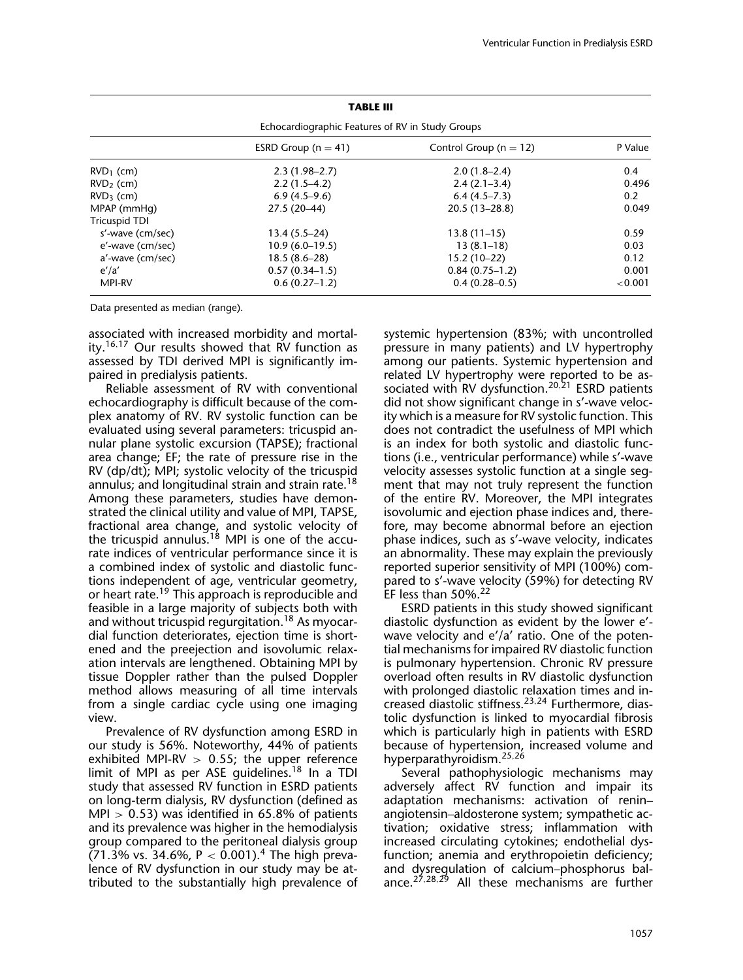| <b>TABLE III</b>                                 |                         |                            |            |  |  |  |
|--------------------------------------------------|-------------------------|----------------------------|------------|--|--|--|
| Echocardiographic Features of RV in Study Groups |                         |                            |            |  |  |  |
|                                                  | ESRD Group ( $n = 41$ ) | Control Group ( $n = 12$ ) | P Value    |  |  |  |
| $RVD_1$ (cm)                                     | $2.3(1.98-2.7)$         | $2.0(1.8-2.4)$             | 0.4        |  |  |  |
| $RVD2$ (cm)                                      | $2.2(1.5-4.2)$          | $2.4(2.1-3.4)$             | 0.496      |  |  |  |
| $RVD3$ (cm)                                      | $6.9(4.5-9.6)$          | $6.4(4.5 - 7.3)$           | 0.2        |  |  |  |
| MPAP (mmHg)                                      | $27.5(20-44)$           | $20.5(13 - 28.8)$          | 0.049      |  |  |  |
| <b>Tricuspid TDI</b>                             |                         |                            |            |  |  |  |
| s'-wave (cm/sec)                                 | $13.4(5.5-24)$          | $13.8(11-15)$              | 0.59       |  |  |  |
| e'-wave (cm/sec)                                 | $10.9(6.0-19.5)$        | $13(8.1-18)$               | 0.03       |  |  |  |
| a'-wave (cm/sec)                                 | $18.5(8.6-28)$          | $15.2(10-22)$              | 0.12       |  |  |  |
| $e^{\prime}/a^{\prime}$                          | $0.57(0.34-1.5)$        | $0.84(0.75-1.2)$           | 0.001      |  |  |  |
| <b>MPI-RV</b>                                    | $0.6(0.27-1.2)$         | $0.4(0.28-0.5)$            | ${<}0.001$ |  |  |  |

Data presented as median (range).

associated with increased morbidity and mortality.<sup>16,17</sup> Our results showed that RV function as assessed by TDI derived MPI is significantly impaired in predialysis patients.

Reliable assessment of RV with conventional echocardiography is difficult because of the complex anatomy of RV. RV systolic function can be evaluated using several parameters: tricuspid annular plane systolic excursion (TAPSE); fractional area change; EF; the rate of pressure rise in the RV (dp/dt); MPI; systolic velocity of the tricuspid annulus; and longitudinal strain and strain rate.<sup>18</sup> Among these parameters, studies have demonstrated the clinical utility and value of MPI, TAPSE, fractional area change, and systolic velocity of the tricuspid annulus.<sup>18</sup> MPI is one of the accurate indices of ventricular performance since it is a combined index of systolic and diastolic functions independent of age, ventricular geometry, or heart rate.<sup>19</sup> This approach is reproducible and feasible in a large majority of subjects both with and without tricuspid regurgitation.<sup>18</sup> As myocardial function deteriorates, ejection time is shortened and the preejection and isovolumic relaxation intervals are lengthened. Obtaining MPI by tissue Doppler rather than the pulsed Doppler method allows measuring of all time intervals from a single cardiac cycle using one imaging view.

Prevalence of RV dysfunction among ESRD in our study is 56%. Noteworthy, 44% of patients exhibited MPI-RV  $> 0.55$ ; the upper reference limit of MPI as per ASE guidelines.18 In a TDI study that assessed RV function in ESRD patients on long-term dialysis, RV dysfunction (defined as MPI  $> 0.53$ ) was identified in 65.8% of patients and its prevalence was higher in the hemodialysis group compared to the peritoneal dialysis group (71.3% vs. 34.6%,  $P < 0.001$ ).<sup>4</sup> The high prevalence of RV dysfunction in our study may be attributed to the substantially high prevalence of systemic hypertension (83%; with uncontrolled pressure in many patients) and LV hypertrophy among our patients. Systemic hypertension and related LV hypertrophy were reported to be associated with RV dysfunction.<sup>20,21</sup> ESRD patients did not show significant change in s'-wave velocity which is a measure for RV systolic function. This does not contradict the usefulness of MPI which is an index for both systolic and diastolic functions (i.e., ventricular performance) while s'-wave velocity assesses systolic function at a single segment that may not truly represent the function of the entire RV. Moreover, the MPI integrates isovolumic and ejection phase indices and, therefore, may become abnormal before an ejection phase indices, such as s'-wave velocity, indicates an abnormality. These may explain the previously reported superior sensitivity of MPI (100%) compared to s'-wave velocity (59%) for detecting RV EF less than 50%.22

ESRD patients in this study showed significant diastolic dysfunction as evident by the lower e' wave velocity and e'/a' ratio. One of the potential mechanisms for impaired RV diastolic function is pulmonary hypertension. Chronic RV pressure overload often results in RV diastolic dysfunction with prolonged diastolic relaxation times and increased diastolic stiffness.23,<sup>24</sup> Furthermore, diastolic dysfunction is linked to myocardial fibrosis which is particularly high in patients with ESRD because of hypertension, increased volume and hyperparathyroidism.<sup>25,26</sup>

Several pathophysiologic mechanisms may adversely affect RV function and impair its adaptation mechanisms: activation of renin– angiotensin–aldosterone system; sympathetic activation; oxidative stress; inflammation with increased circulating cytokines; endothelial dysfunction; anemia and erythropoietin deficiency; and dysregulation of calcium–phosphorus balance.<sup>27,28,29</sup> All these mechanisms are further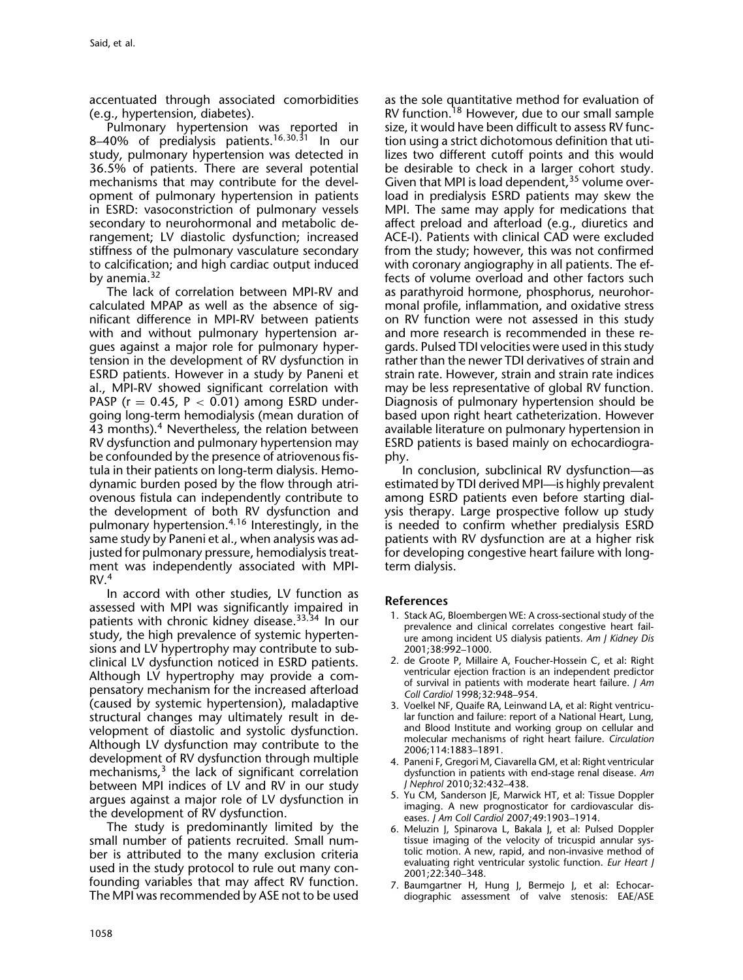accentuated through associated comorbidities (e.g., hypertension, diabetes).

Pulmonary hypertension was reported in 8-40% of predialysis patients.<sup>16,30,31</sup> In our study, pulmonary hypertension was detected in 36.5% of patients. There are several potential mechanisms that may contribute for the development of pulmonary hypertension in patients in ESRD: vasoconstriction of pulmonary vessels secondary to neurohormonal and metabolic derangement; LV diastolic dysfunction; increased stiffness of the pulmonary vasculature secondary to calcification; and high cardiac output induced by anemia.<sup>32</sup>

The lack of correlation between MPI-RV and calculated MPAP as well as the absence of significant difference in MPI-RV between patients with and without pulmonary hypertension argues against a major role for pulmonary hypertension in the development of RV dysfunction in ESRD patients. However in a study by Paneni et al., MPI-RV showed significant correlation with PASP ( $r = 0.45$ ,  $P < 0.01$ ) among ESRD undergoing long-term hemodialysis (mean duration of 43 months).<sup>4</sup> Nevertheless, the relation between RV dysfunction and pulmonary hypertension may be confounded by the presence of atriovenous fistula in their patients on long-term dialysis. Hemodynamic burden posed by the flow through atriovenous fistula can independently contribute to the development of both RV dysfunction and pulmonary hypertension.4,<sup>16</sup> Interestingly, in the same study by Paneni et al., when analysis was adjusted for pulmonary pressure, hemodialysis treatment was independently associated with MPI- $RV.<sup>4</sup>$ 

In accord with other studies, LV function as assessed with MPI was significantly impaired in patients with chronic kidney disease.<sup>33,34</sup> In our study, the high prevalence of systemic hypertensions and LV hypertrophy may contribute to subclinical LV dysfunction noticed in ESRD patients. Although LV hypertrophy may provide a compensatory mechanism for the increased afterload (caused by systemic hypertension), maladaptive structural changes may ultimately result in development of diastolic and systolic dysfunction. Although LV dysfunction may contribute to the development of RV dysfunction through multiple mechanisms, $3$  the lack of significant correlation between MPI indices of LV and RV in our study argues against a major role of LV dysfunction in the development of RV dysfunction.

The study is predominantly limited by the small number of patients recruited. Small number is attributed to the many exclusion criteria used in the study protocol to rule out many confounding variables that may affect RV function. The MPI was recommended by ASE not to be used

as the sole quantitative method for evaluation of RV function.<sup>18</sup> However, due to our small sample size, it would have been difficult to assess RV function using a strict dichotomous definition that utilizes two different cutoff points and this would be desirable to check in a larger cohort study. Given that MPI is load dependent,<sup>35</sup> volume overload in predialysis ESRD patients may skew the MPI. The same may apply for medications that affect preload and afterload (e.g., diuretics and ACE-I). Patients with clinical CAD were excluded from the study; however, this was not confirmed with coronary angiography in all patients. The effects of volume overload and other factors such as parathyroid hormone, phosphorus, neurohormonal profile, inflammation, and oxidative stress on RV function were not assessed in this study and more research is recommended in these regards. Pulsed TDI velocities were used in this study rather than the newer TDI derivatives of strain and strain rate. However, strain and strain rate indices may be less representative of global RV function. Diagnosis of pulmonary hypertension should be based upon right heart catheterization. However available literature on pulmonary hypertension in ESRD patients is based mainly on echocardiography.

In conclusion, subclinical RV dysfunction—as estimated by TDI derived MPI—is highly prevalent among ESRD patients even before starting dialysis therapy. Large prospective follow up study is needed to confirm whether predialysis ESRD patients with RV dysfunction are at a higher risk for developing congestive heart failure with longterm dialysis.

## **References**

- 1. Stack AG, Bloembergen WE: A cross-sectional study of the prevalence and clinical correlates congestive heart failure among incident US dialysis patients. *Am J Kidney Dis* 2001;38:992–1000.
- 2. de Groote P, Millaire A, Foucher-Hossein C, et al: Right ventricular ejection fraction is an independent predictor of survival in patients with moderate heart failure. *J Am Coll Cardiol* 1998;32:948–954.
- 3. Voelkel NF, Quaife RA, Leinwand LA, et al: Right ventricular function and failure: report of a National Heart, Lung, and Blood Institute and working group on cellular and molecular mechanisms of right heart failure. *Circulation* 2006;114:1883–1891.
- 4. Paneni F, Gregori M, Ciavarella GM, et al: Right ventricular dysfunction in patients with end-stage renal disease. *Am J Nephrol* 2010;32:432–438.
- 5. Yu CM, Sanderson JE, Marwick HT, et al: Tissue Doppler imaging. A new prognosticator for cardiovascular diseases. *J Am Coll Cardiol* 2007;49:1903–1914.
- 6. Meluzin J, Spinarova L, Bakala J, et al: Pulsed Doppler tissue imaging of the velocity of tricuspid annular systolic motion. A new, rapid, and non-invasive method of evaluating right ventricular systolic function. *Eur Heart J* 2001;22:340–348.
- 7. Baumgartner H, Hung J, Bermejo J, et al: Echocardiographic assessment of valve stenosis: EAE/ASE